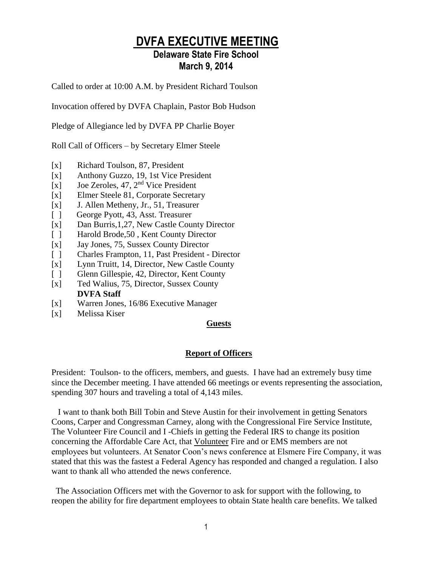### **DVFA EXECUTIVE MEETING**

### **Delaware State Fire School March 9, 2014**

Called to order at 10:00 A.M. by President Richard Toulson

Invocation offered by DVFA Chaplain, Pastor Bob Hudson

Pledge of Allegiance led by DVFA PP Charlie Boyer

Roll Call of Officers – by Secretary Elmer Steele

- [x] Richard Toulson, 87, President
- [x] Anthony Guzzo, 19, 1st Vice President
- [x] Joe Zeroles, 47,  $2<sup>nd</sup>$  Vice President
- [x] Elmer Steele 81, Corporate Secretary
- [x] J. Allen Metheny, Jr., 51, Treasurer
- [ ] George Pyott, 43, Asst. Treasurer
- [x] Dan Burris, 1,27, New Castle County Director
- [ ] Harold Brode, 50, Kent County Director
- [x] Jay Jones, 75, Sussex County Director
- [ ] Charles Frampton, 11, Past President Director
- [x] Lynn Truitt, 14, Director, New Castle County
- [ ] Glenn Gillespie, 42, Director, Kent County
- [x] Ted Walius, 75, Director, Sussex County **DVFA Staff**
- [x] Warren Jones, 16/86 Executive Manager
- [x] Melissa Kiser

#### **Guests**

#### **Report of Officers**

President: Toulson- to the officers, members, and guests. I have had an extremely busy time since the December meeting. I have attended 66 meetings or events representing the association, spending 307 hours and traveling a total of 4,143 miles.

 I want to thank both Bill Tobin and Steve Austin for their involvement in getting Senators Coons, Carper and Congressman Carney, along with the Congressional Fire Service Institute, The Volunteer Fire Council and I -Chiefs in getting the Federal IRS to change its position concerning the Affordable Care Act, that Volunteer Fire and or EMS members are not employees but volunteers. At Senator Coon's news conference at Elsmere Fire Company, it was stated that this was the fastest a Federal Agency has responded and changed a regulation. I also want to thank all who attended the news conference.

 The Association Officers met with the Governor to ask for support with the following, to reopen the ability for fire department employees to obtain State health care benefits. We talked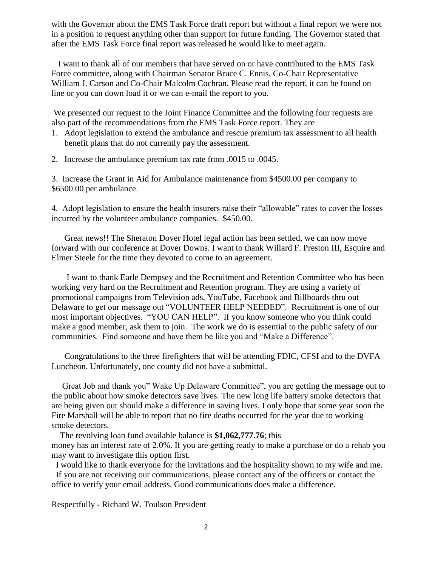with the Governor about the EMS Task Force draft report but without a final report we were not in a position to request anything other than support for future funding. The Governor stated that after the EMS Task Force final report was released he would like to meet again.

 I want to thank all of our members that have served on or have contributed to the EMS Task Force committee, along with Chairman Senator Bruce C. Ennis, Co-Chair Representative William J. Carson and Co-Chair Malcolm Cochran. Please read the report, it can be found on line or you can down load it or we can e-mail the report to you.

We presented our request to the Joint Finance Committee and the following four requests are also part of the recommendations from the EMS Task Force report. They are

- 1. Adopt legislation to extend the ambulance and rescue premium tax assessment to all health benefit plans that do not currently pay the assessment.
- 2. Increase the ambulance premium tax rate from .0015 to .0045.

3. Increase the Grant in Aid for Ambulance maintenance from \$4500.00 per company to \$6500.00 per ambulance.

4. Adopt legislation to ensure the health insurers raise their "allowable" rates to cover the losses incurred by the volunteer ambulance companies. \$450.00.

 Great news!! The Sheraton Dover Hotel legal action has been settled, we can now move forward with our conference at Dover Downs. I want to thank Willard F. Preston III, Esquire and Elmer Steele for the time they devoted to come to an agreement.

 I want to thank Earle Dempsey and the Recruitment and Retention Committee who has been working very hard on the Recruitment and Retention program. They are using a variety of promotional campaigns from Television ads, YouTube, Facebook and Billboards thru out Delaware to get our message out "VOLUNTEER HELP NEEDED". Recruitment is one of our most important objectives. "YOU CAN HELP". If you know someone who you think could make a good member, ask them to join. The work we do is essential to the public safety of our communities. Find someone and have them be like you and "Make a Difference".

 Congratulations to the three firefighters that will be attending FDIC, CFSI and to the DVFA Luncheon. Unfortunately, one county did not have a submittal.

 Great Job and thank you" Wake Up Delaware Committee", you are getting the message out to the public about how smoke detectors save lives. The new long life battery smoke detectors that are being given out should make a difference in saving lives. I only hope that some year soon the Fire Marshall will be able to report that no fire deaths occurred for the year due to working smoke detectors.

 The revolving loan fund available balance is **\$1,062,777.76**; this money has an interest rate of 2.0%. If you are getting ready to make a purchase or do a rehab you may want to investigate this option first.

I would like to thank everyone for the invitations and the hospitality shown to my wife and me.

If you are not receiving our communications, please contact any of the officers or contact the office to verify your email address. Good communications does make a difference.

Respectfully - Richard W. Toulson President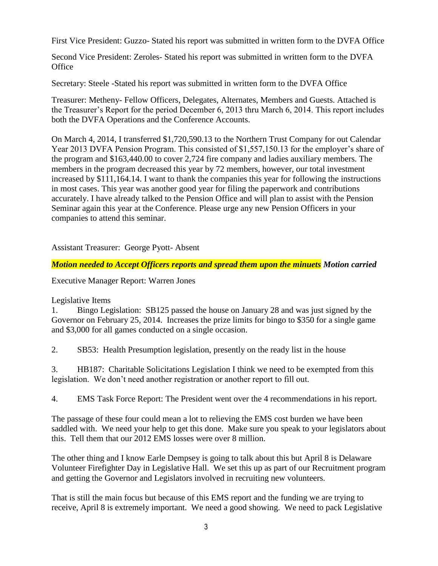First Vice President: Guzzo- Stated his report was submitted in written form to the DVFA Office

Second Vice President: Zeroles- Stated his report was submitted in written form to the DVFA **Office** 

Secretary: Steele -Stated his report was submitted in written form to the DVFA Office

Treasurer: Metheny- Fellow Officers, Delegates, Alternates, Members and Guests. Attached is the Treasurer's Report for the period December 6, 2013 thru March 6, 2014. This report includes both the DVFA Operations and the Conference Accounts.

On March 4, 2014, I transferred \$1,720,590.13 to the Northern Trust Company for out Calendar Year 2013 DVFA Pension Program. This consisted of \$1,557,150.13 for the employer's share of the program and \$163,440.00 to cover 2,724 fire company and ladies auxiliary members. The members in the program decreased this year by 72 members, however, our total investment increased by \$111,164.14. I want to thank the companies this year for following the instructions in most cases. This year was another good year for filing the paperwork and contributions accurately. I have already talked to the Pension Office and will plan to assist with the Pension Seminar again this year at the Conference. Please urge any new Pension Officers in your companies to attend this seminar.

Assistant Treasurer: George Pyott- Absent

*Motion needed to Accept Officers reports and spread them upon the minuets Motion carried*

Executive Manager Report: Warren Jones

#### Legislative Items

1. Bingo Legislation: SB125 passed the house on January 28 and was just signed by the Governor on February 25, 2014. Increases the prize limits for bingo to \$350 for a single game and \$3,000 for all games conducted on a single occasion.

2. SB53: Health Presumption legislation, presently on the ready list in the house

3. HB187: Charitable Solicitations Legislation I think we need to be exempted from this legislation. We don't need another registration or another report to fill out.

4. EMS Task Force Report: The President went over the 4 recommendations in his report.

The passage of these four could mean a lot to relieving the EMS cost burden we have been saddled with. We need your help to get this done. Make sure you speak to your legislators about this. Tell them that our 2012 EMS losses were over 8 million.

The other thing and I know Earle Dempsey is going to talk about this but April 8 is Delaware Volunteer Firefighter Day in Legislative Hall. We set this up as part of our Recruitment program and getting the Governor and Legislators involved in recruiting new volunteers.

That is still the main focus but because of this EMS report and the funding we are trying to receive, April 8 is extremely important. We need a good showing. We need to pack Legislative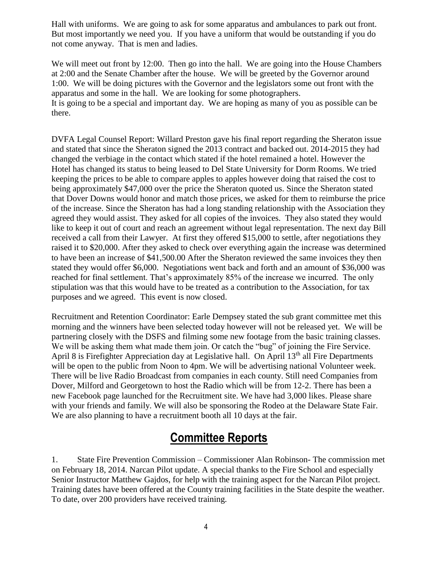Hall with uniforms. We are going to ask for some apparatus and ambulances to park out front. But most importantly we need you. If you have a uniform that would be outstanding if you do not come anyway. That is men and ladies.

We will meet out front by 12:00. Then go into the hall. We are going into the House Chambers at 2:00 and the Senate Chamber after the house. We will be greeted by the Governor around 1:00. We will be doing pictures with the Governor and the legislators some out front with the apparatus and some in the hall. We are looking for some photographers. It is going to be a special and important day. We are hoping as many of you as possible can be there.

DVFA Legal Counsel Report: Willard Preston gave his final report regarding the Sheraton issue and stated that since the Sheraton signed the 2013 contract and backed out. 2014-2015 they had changed the verbiage in the contact which stated if the hotel remained a hotel. However the Hotel has changed its status to being leased to Del State University for Dorm Rooms. We tried keeping the prices to be able to compare apples to apples however doing that raised the cost to being approximately \$47,000 over the price the Sheraton quoted us. Since the Sheraton stated that Dover Downs would honor and match those prices, we asked for them to reimburse the price of the increase. Since the Sheraton has had a long standing relationship with the Association they agreed they would assist. They asked for all copies of the invoices. They also stated they would like to keep it out of court and reach an agreement without legal representation. The next day Bill received a call from their Lawyer. At first they offered \$15,000 to settle, after negotiations they raised it to \$20,000. After they asked to check over everything again the increase was determined to have been an increase of \$41,500.00 After the Sheraton reviewed the same invoices they then stated they would offer \$6,000. Negotiations went back and forth and an amount of \$36,000 was reached for final settlement. That's approximately 85% of the increase we incurred. The only stipulation was that this would have to be treated as a contribution to the Association, for tax purposes and we agreed. This event is now closed.

Recruitment and Retention Coordinator: Earle Dempsey stated the sub grant committee met this morning and the winners have been selected today however will not be released yet. We will be partnering closely with the DSFS and filming some new footage from the basic training classes. We will be asking them what made them join. Or catch the "bug" of joining the Fire Service. April 8 is Firefighter Appreciation day at Legislative hall. On April 13<sup>th</sup> all Fire Departments will be open to the public from Noon to 4pm. We will be advertising national Volunteer week. There will be live Radio Broadcast from companies in each county. Still need Companies from Dover, Milford and Georgetown to host the Radio which will be from 12-2. There has been a new Facebook page launched for the Recruitment site. We have had 3,000 likes. Please share with your friends and family. We will also be sponsoring the Rodeo at the Delaware State Fair. We are also planning to have a recruitment booth all 10 days at the fair.

### **Committee Reports**

1. State Fire Prevention Commission – Commissioner Alan Robinson- The commission met on February 18, 2014. Narcan Pilot update. A special thanks to the Fire School and especially Senior Instructor Matthew Gajdos, for help with the training aspect for the Narcan Pilot project. Training dates have been offered at the County training facilities in the State despite the weather. To date, over 200 providers have received training.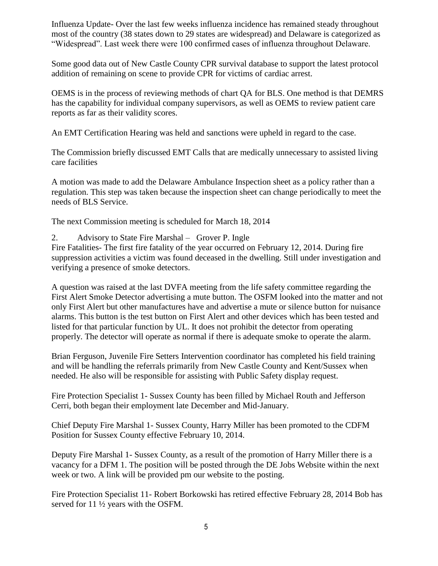Influenza Update- Over the last few weeks influenza incidence has remained steady throughout most of the country (38 states down to 29 states are widespread) and Delaware is categorized as "Widespread". Last week there were 100 confirmed cases of influenza throughout Delaware.

Some good data out of New Castle County CPR survival database to support the latest protocol addition of remaining on scene to provide CPR for victims of cardiac arrest.

OEMS is in the process of reviewing methods of chart QA for BLS. One method is that DEMRS has the capability for individual company supervisors, as well as OEMS to review patient care reports as far as their validity scores.

An EMT Certification Hearing was held and sanctions were upheld in regard to the case.

The Commission briefly discussed EMT Calls that are medically unnecessary to assisted living care facilities

A motion was made to add the Delaware Ambulance Inspection sheet as a policy rather than a regulation. This step was taken because the inspection sheet can change periodically to meet the needs of BLS Service.

The next Commission meeting is scheduled for March 18, 2014

2. Advisory to State Fire Marshal – Grover P. Ingle

Fire Fatalities- The first fire fatality of the year occurred on February 12, 2014. During fire suppression activities a victim was found deceased in the dwelling. Still under investigation and verifying a presence of smoke detectors.

A question was raised at the last DVFA meeting from the life safety committee regarding the First Alert Smoke Detector advertising a mute button. The OSFM looked into the matter and not only First Alert but other manufactures have and advertise a mute or silence button for nuisance alarms. This button is the test button on First Alert and other devices which has been tested and listed for that particular function by UL. It does not prohibit the detector from operating properly. The detector will operate as normal if there is adequate smoke to operate the alarm.

Brian Ferguson, Juvenile Fire Setters Intervention coordinator has completed his field training and will be handling the referrals primarily from New Castle County and Kent/Sussex when needed. He also will be responsible for assisting with Public Safety display request.

Fire Protection Specialist 1- Sussex County has been filled by Michael Routh and Jefferson Cerri, both began their employment late December and Mid-January.

Chief Deputy Fire Marshal 1- Sussex County, Harry Miller has been promoted to the CDFM Position for Sussex County effective February 10, 2014.

Deputy Fire Marshal 1- Sussex County, as a result of the promotion of Harry Miller there is a vacancy for a DFM 1. The position will be posted through the DE Jobs Website within the next week or two. A link will be provided pm our website to the posting.

Fire Protection Specialist 11- Robert Borkowski has retired effective February 28, 2014 Bob has served for 11 ½ years with the OSFM.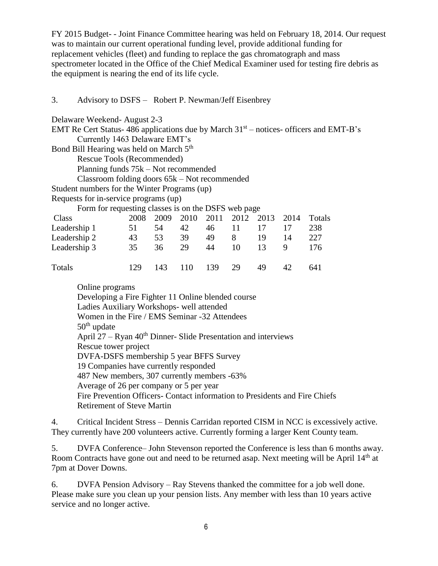FY 2015 Budget- - Joint Finance Committee hearing was held on February 18, 2014. Our request was to maintain our current operational funding level, provide additional funding for replacement vehicles (fleet) and funding to replace the gas chromatograph and mass spectrometer located in the Office of the Chief Medical Examiner used for testing fire debris as the equipment is nearing the end of its life cycle.

#### 3. Advisory to DSFS – Robert P. Newman/Jeff Eisenbrey

| Delaware Weekend-August 2-3<br>EMT Re Cert Status- 486 applications due by March $31st$ – notices- officers and EMT-B's |      |          |           |       |      |      |        |        |
|-------------------------------------------------------------------------------------------------------------------------|------|----------|-----------|-------|------|------|--------|--------|
| Currently 1463 Delaware EMT's                                                                                           |      |          |           |       |      |      |        |        |
| Bond Bill Hearing was held on March 5 <sup>th</sup>                                                                     |      |          |           |       |      |      |        |        |
| Rescue Tools (Recommended)                                                                                              |      |          |           |       |      |      |        |        |
| Planning funds $75k$ – Not recommended                                                                                  |      |          |           |       |      |      |        |        |
| Classroom folding doors $65k$ – Not recommended                                                                         |      |          |           |       |      |      |        |        |
| Student numbers for the Winter Programs (up)                                                                            |      |          |           |       |      |      |        |        |
| Requests for in-service programs (up)                                                                                   |      |          |           |       |      |      |        |        |
| Form for requesting classes is on the DSFS web page                                                                     |      |          |           |       |      |      |        |        |
| Class                                                                                                                   | 2008 | 2009     | 2010 2011 |       | 2012 | 2013 | - 2014 | Totals |
| Leadership 1                                                                                                            | 51   | 54 42    |           | 46 11 |      | 17   | 17     | 238    |
| Leadership 2                                                                                                            |      | 43 53 39 |           | 49    | 8    | 19   | 14     | 227    |
| Leadership 3                                                                                                            | 35   | 36       | 29        | 44    | 10   | 13   | 9      | 176    |
| <b>Totals</b>                                                                                                           | 129  | 143      | 110       | 139   | 29   | 49   | 42     | 641    |

Online programs

Developing a Fire Fighter 11 Online blended course Ladies Auxiliary Workshops- well attended

Women in the Fire / EMS Seminar -32 Attendees

 $50<sup>th</sup>$  update

April  $27 - R$ yan  $40<sup>th</sup>$  Dinner-Slide Presentation and interviews

Rescue tower project

DVFA-DSFS membership 5 year BFFS Survey

19 Companies have currently responded

487 New members, 307 currently members -63%

Average of 26 per company or 5 per year

Fire Prevention Officers- Contact information to Presidents and Fire Chiefs Retirement of Steve Martin

4. Critical Incident Stress – Dennis Carridan reported CISM in NCC is excessively active. They currently have 200 volunteers active. Currently forming a larger Kent County team.

5. DVFA Conference– John Stevenson reported the Conference is less than 6 months away. Room Contracts have gone out and need to be returned asap. Next meeting will be April 14<sup>th</sup> at 7pm at Dover Downs.

6. DVFA Pension Advisory – Ray Stevens thanked the committee for a job well done. Please make sure you clean up your pension lists. Any member with less than 10 years active service and no longer active.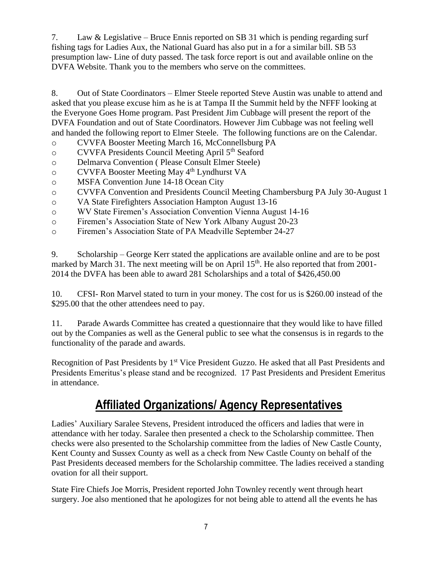7. Law & Legislative – Bruce Ennis reported on SB 31 which is pending regarding surf fishing tags for Ladies Aux, the National Guard has also put in a for a similar bill. SB 53 presumption law- Line of duty passed. The task force report is out and available online on the DVFA Website. Thank you to the members who serve on the committees.

8. Out of State Coordinators – Elmer Steele reported Steve Austin was unable to attend and asked that you please excuse him as he is at Tampa II the Summit held by the NFFF looking at the Everyone Goes Home program. Past President Jim Cubbage will present the report of the DVFA Foundation and out of State Coordinators. However Jim Cubbage was not feeling well and handed the following report to Elmer Steele. The following functions are on the Calendar.

- o CVVFA Booster Meeting March 16, McConnellsburg PA
- o CVVFA Presidents Council Meeting April 5<sup>th</sup> Seaford
- o Delmarva Convention ( Please Consult Elmer Steele)
- o CVVFA Booster Meeting May 4th Lyndhurst VA
- o MSFA Convention June 14-18 Ocean City
- o CVVFA Convention and Presidents Council Meeting Chambersburg PA July 30-August 1
- o VA State Firefighters Association Hampton August 13-16
- o WV State Firemen's Association Convention Vienna August 14-16
- o Firemen's Association State of New York Albany August 20-23
- o Firemen's Association State of PA Meadville September 24-27

9. Scholarship – George Kerr stated the applications are available online and are to be post marked by March 31. The next meeting will be on April 15<sup>th</sup>. He also reported that from 2001-2014 the DVFA has been able to award 281 Scholarships and a total of \$426,450.00

10. CFSI- Ron Marvel stated to turn in your money. The cost for us is \$260.00 instead of the \$295.00 that the other attendees need to pay.

11. Parade Awards Committee has created a questionnaire that they would like to have filled out by the Companies as well as the General public to see what the consensus is in regards to the functionality of the parade and awards.

Recognition of Past Presidents by 1<sup>st</sup> Vice President Guzzo. He asked that all Past Presidents and Presidents Emeritus's please stand and be recognized. 17 Past Presidents and President Emeritus in attendance.

## **Affiliated Organizations/ Agency Representatives**

Ladies' Auxiliary Saralee Stevens, President introduced the officers and ladies that were in attendance with her today. Saralee then presented a check to the Scholarship committee. Then checks were also presented to the Scholarship committee from the ladies of New Castle County, Kent County and Sussex County as well as a check from New Castle County on behalf of the Past Presidents deceased members for the Scholarship committee. The ladies received a standing ovation for all their support.

State Fire Chiefs Joe Morris, President reported John Townley recently went through heart surgery. Joe also mentioned that he apologizes for not being able to attend all the events he has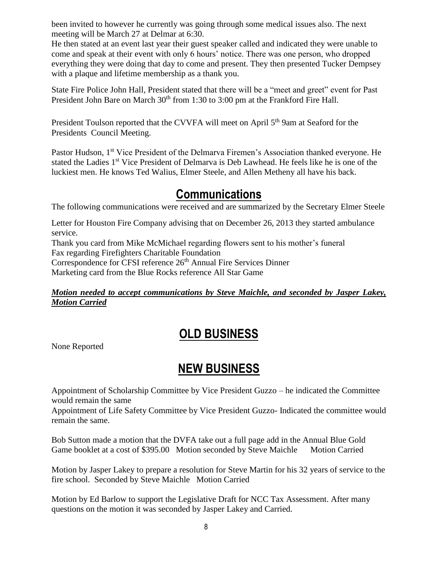been invited to however he currently was going through some medical issues also. The next meeting will be March 27 at Delmar at 6:30.

He then stated at an event last year their guest speaker called and indicated they were unable to come and speak at their event with only 6 hours' notice. There was one person, who dropped everything they were doing that day to come and present. They then presented Tucker Dempsey with a plaque and lifetime membership as a thank you.

State Fire Police John Hall, President stated that there will be a "meet and greet" event for Past President John Bare on March 30<sup>th</sup> from 1:30 to 3:00 pm at the Frankford Fire Hall.

President Toulson reported that the CVVFA will meet on April 5<sup>th</sup> 9am at Seaford for the Presidents Council Meeting.

Pastor Hudson, 1<sup>st</sup> Vice President of the Delmarva Firemen's Association thanked everyone. He stated the Ladies 1<sup>st</sup> Vice President of Delmarva is Deb Lawhead. He feels like he is one of the luckiest men. He knows Ted Walius, Elmer Steele, and Allen Metheny all have his back.

## **Communications**

The following communications were received and are summarized by the Secretary Elmer Steele

Letter for Houston Fire Company advising that on December 26, 2013 they started ambulance service. Thank you card from Mike McMichael regarding flowers sent to his mother's funeral

Fax regarding Firefighters Charitable Foundation

Correspondence for CFSI reference 26<sup>th</sup> Annual Fire Services Dinner

Marketing card from the Blue Rocks reference All Star Game

### *Motion needed to accept communications by Steve Maichle, and seconded by Jasper Lakey, Motion Carried*

# **OLD BUSINESS**

None Reported

# **NEW BUSINESS**

Appointment of Scholarship Committee by Vice President Guzzo – he indicated the Committee would remain the same

Appointment of Life Safety Committee by Vice President Guzzo- Indicated the committee would remain the same.

Bob Sutton made a motion that the DVFA take out a full page add in the Annual Blue Gold Game booklet at a cost of \$395.00 Motion seconded by Steve Maichle Motion Carried

Motion by Jasper Lakey to prepare a resolution for Steve Martin for his 32 years of service to the fire school. Seconded by Steve Maichle Motion Carried

Motion by Ed Barlow to support the Legislative Draft for NCC Tax Assessment. After many questions on the motion it was seconded by Jasper Lakey and Carried.